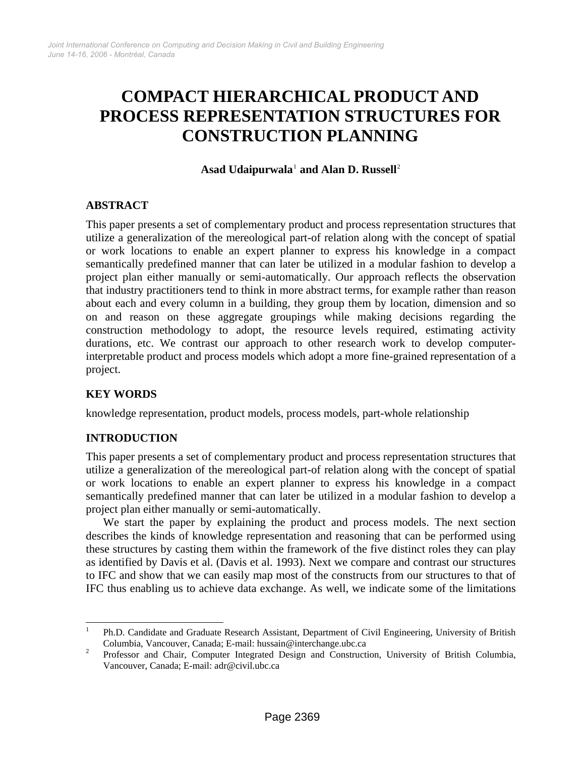# **COMPACT HIERARCHICAL PRODUCT AND PROCESS REPRESENTATION STRUCTURES FOR CONSTRUCTION PLANNING**

#### **Asad Udaipurwala**[1](#page-0-0)  **and Alan D. Russell**[2](#page-0-1)

## **ABSTRACT**

This paper presents a set of complementary product and process representation structures that utilize a generalization of the mereological part-of relation along with the concept of spatial or work locations to enable an expert planner to express his knowledge in a compact semantically predefined manner that can later be utilized in a modular fashion to develop a project plan either manually or semi-automatically. Our approach reflects the observation that industry practitioners tend to think in more abstract terms, for example rather than reason about each and every column in a building, they group them by location, dimension and so on and reason on these aggregate groupings while making decisions regarding the construction methodology to adopt, the resource levels required, estimating activity durations, etc. We contrast our approach to other research work to develop computerinterpretable product and process models which adopt a more fine-grained representation of a project.

## **KEY WORDS**

knowledge representation, product models, process models, part-whole relationship

## **INTRODUCTION**

This paper presents a set of complementary product and process representation structures that utilize a generalization of the mereological part-of relation along with the concept of spatial or work locations to enable an expert planner to express his knowledge in a compact semantically predefined manner that can later be utilized in a modular fashion to develop a project plan either manually or semi-automatically.

We start the paper by explaining the product and process models. The next section describes the kinds of knowledge representation and reasoning that can be performed using these structures by casting them within the framework of the five distinct roles they can play as identified by Davis et al. (Davis et al. 1993). Next we compare and contrast our structures to IFC and show that we can easily map most of the constructs from our structures to that of IFC thus enabling us to achieve data exchange. As well, we indicate some of the limitations

<span id="page-0-0"></span> $\overline{\phantom{a}}$ 1 Ph.D. Candidate and Graduate Research Assistant, Department of Civil Engineering, University of British Columbia, Vancouver, Canada; E-mail: hussain@interchange.ubc.ca 2

<span id="page-0-1"></span>Professor and Chair, Computer Integrated Design and Construction, University of British Columbia, Vancouver, Canada; E-mail: adr@civil.ubc.ca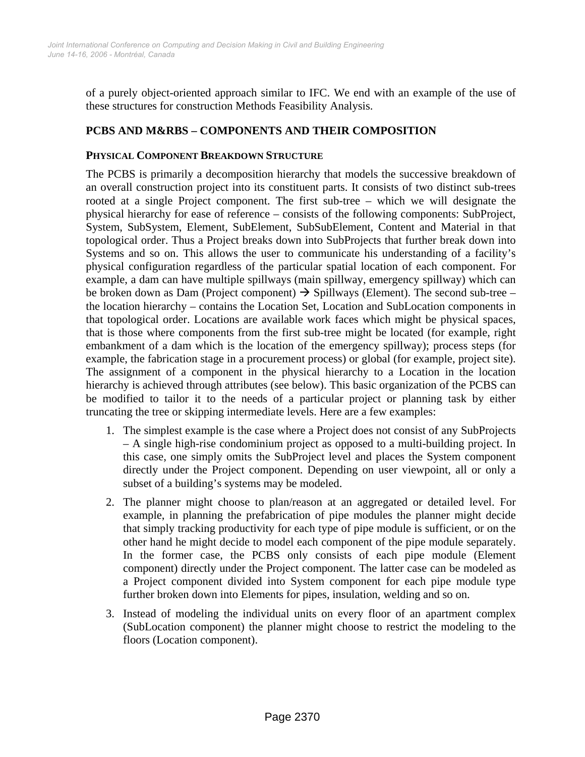of a purely object-oriented approach similar to IFC. We end with an example of the use of these structures for construction Methods Feasibility Analysis.

# **PCBS AND M&RBS – COMPONENTS AND THEIR COMPOSITION**

#### **PHYSICAL COMPONENT BREAKDOWN STRUCTURE**

The PCBS is primarily a decomposition hierarchy that models the successive breakdown of an overall construction project into its constituent parts. It consists of two distinct sub-trees rooted at a single Project component. The first sub-tree – which we will designate the physical hierarchy for ease of reference – consists of the following components: SubProject, System, SubSystem, Element, SubElement, SubSubElement, Content and Material in that topological order. Thus a Project breaks down into SubProjects that further break down into Systems and so on. This allows the user to communicate his understanding of a facility's physical configuration regardless of the particular spatial location of each component. For example, a dam can have multiple spillways (main spillway, emergency spillway) which can be broken down as Dam (Project component)  $\rightarrow$  Spillways (Element). The second sub-tree – the location hierarchy – contains the Location Set, Location and SubLocation components in that topological order. Locations are available work faces which might be physical spaces, that is those where components from the first sub-tree might be located (for example, right embankment of a dam which is the location of the emergency spillway); process steps (for example, the fabrication stage in a procurement process) or global (for example, project site). The assignment of a component in the physical hierarchy to a Location in the location hierarchy is achieved through attributes (see below). This basic organization of the PCBS can be modified to tailor it to the needs of a particular project or planning task by either truncating the tree or skipping intermediate levels. Here are a few examples:

- 1. The simplest example is the case where a Project does not consist of any SubProjects – A single high-rise condominium project as opposed to a multi-building project. In this case, one simply omits the SubProject level and places the System component directly under the Project component. Depending on user viewpoint, all or only a subset of a building's systems may be modeled.
- 2. The planner might choose to plan/reason at an aggregated or detailed level. For example, in planning the prefabrication of pipe modules the planner might decide that simply tracking productivity for each type of pipe module is sufficient, or on the other hand he might decide to model each component of the pipe module separately. In the former case, the PCBS only consists of each pipe module (Element component) directly under the Project component. The latter case can be modeled as a Project component divided into System component for each pipe module type further broken down into Elements for pipes, insulation, welding and so on.
- 3. Instead of modeling the individual units on every floor of an apartment complex (SubLocation component) the planner might choose to restrict the modeling to the floors (Location component).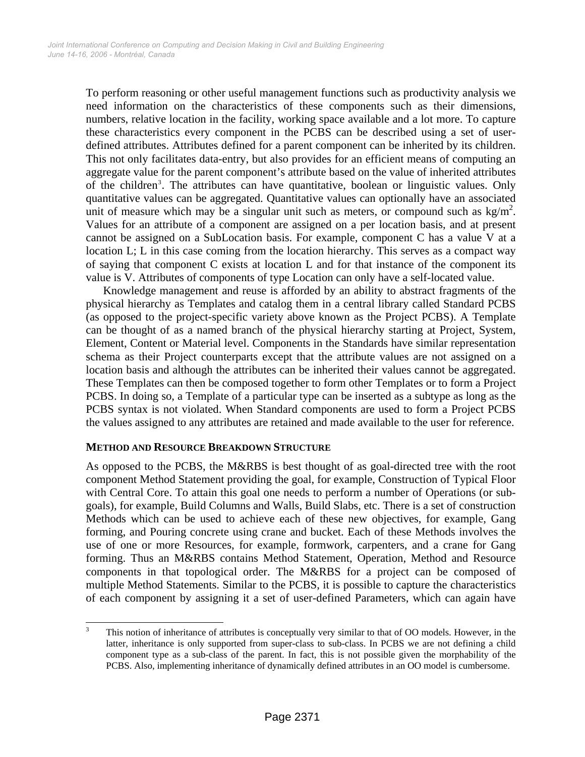To perform reasoning or other useful management functions such as productivity analysis we need information on the characteristics of these components such as their dimensions, numbers, relative location in the facility, working space available and a lot more. To capture these characteristics every component in the PCBS can be described using a set of userdefined attributes. Attributes defined for a parent component can be inherited by its children. This not only facilitates data-entry, but also provides for an efficient means of computing an aggregate value for the parent component's attribute based on the value of inherited attributes of the children<sup>[3](#page-2-0)</sup>. The attributes can have quantitative, boolean or linguistic values. Only quantitative values can be aggregated. Quantitative values can optionally have an associated unit of measure which may be a singular unit such as meters, or compound such as  $\text{kg/m}^2$ . Values for an attribute of a component are assigned on a per location basis, and at present cannot be assigned on a SubLocation basis. For example, component C has a value V at a location L; L in this case coming from the location hierarchy. This serves as a compact way of saying that component C exists at location L and for that instance of the component its value is V. Attributes of components of type Location can only have a self-located value.

Knowledge management and reuse is afforded by an ability to abstract fragments of the physical hierarchy as Templates and catalog them in a central library called Standard PCBS (as opposed to the project-specific variety above known as the Project PCBS). A Template can be thought of as a named branch of the physical hierarchy starting at Project, System, Element, Content or Material level. Components in the Standards have similar representation schema as their Project counterparts except that the attribute values are not assigned on a location basis and although the attributes can be inherited their values cannot be aggregated. These Templates can then be composed together to form other Templates or to form a Project PCBS. In doing so, a Template of a particular type can be inserted as a subtype as long as the PCBS syntax is not violated. When Standard components are used to form a Project PCBS the values assigned to any attributes are retained and made available to the user for reference.

#### **METHOD AND RESOURCE BREAKDOWN STRUCTURE**

As opposed to the PCBS, the M&RBS is best thought of as goal-directed tree with the root component Method Statement providing the goal, for example, Construction of Typical Floor with Central Core. To attain this goal one needs to perform a number of Operations (or subgoals), for example, Build Columns and Walls, Build Slabs, etc. There is a set of construction Methods which can be used to achieve each of these new objectives, for example, Gang forming, and Pouring concrete using crane and bucket. Each of these Methods involves the use of one or more Resources, for example, formwork, carpenters, and a crane for Gang forming. Thus an M&RBS contains Method Statement, Operation, Method and Resource components in that topological order. The M&RBS for a project can be composed of multiple Method Statements. Similar to the PCBS, it is possible to capture the characteristics of each component by assigning it a set of user-defined Parameters, which can again have

<span id="page-2-0"></span> 3 This notion of inheritance of attributes is conceptually very similar to that of OO models. However, in the latter, inheritance is only supported from super-class to sub-class. In PCBS we are not defining a child component type as a sub-class of the parent. In fact, this is not possible given the morphability of the PCBS. Also, implementing inheritance of dynamically defined attributes in an OO model is cumbersome.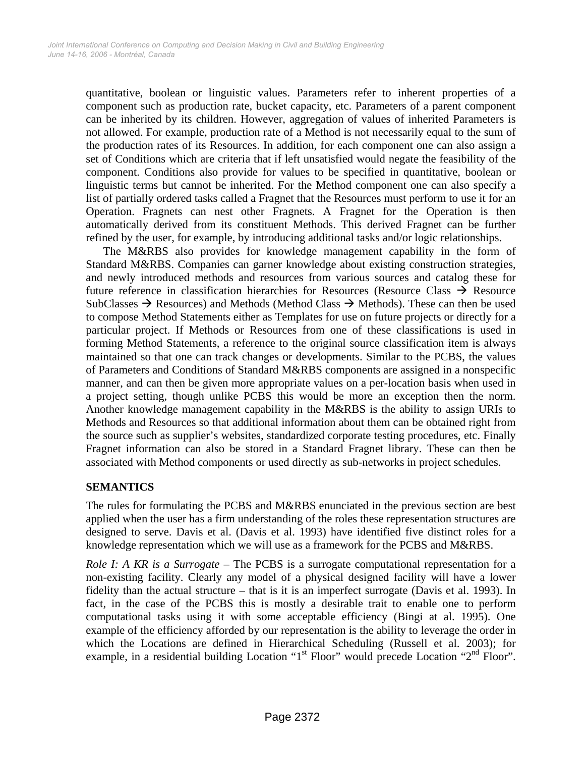quantitative, boolean or linguistic values. Parameters refer to inherent properties of a component such as production rate, bucket capacity, etc. Parameters of a parent component can be inherited by its children. However, aggregation of values of inherited Parameters is not allowed. For example, production rate of a Method is not necessarily equal to the sum of the production rates of its Resources. In addition, for each component one can also assign a set of Conditions which are criteria that if left unsatisfied would negate the feasibility of the component. Conditions also provide for values to be specified in quantitative, boolean or linguistic terms but cannot be inherited. For the Method component one can also specify a list of partially ordered tasks called a Fragnet that the Resources must perform to use it for an Operation. Fragnets can nest other Fragnets. A Fragnet for the Operation is then automatically derived from its constituent Methods. This derived Fragnet can be further refined by the user, for example, by introducing additional tasks and/or logic relationships.

The M&RBS also provides for knowledge management capability in the form of Standard M&RBS. Companies can garner knowledge about existing construction strategies, and newly introduced methods and resources from various sources and catalog these for future reference in classification hierarchies for Resources (Resource Class  $\rightarrow$  Resource SubClasses  $\rightarrow$  Resources) and Methods (Method Class  $\rightarrow$  Methods). These can then be used to compose Method Statements either as Templates for use on future projects or directly for a particular project. If Methods or Resources from one of these classifications is used in forming Method Statements, a reference to the original source classification item is always maintained so that one can track changes or developments. Similar to the PCBS, the values of Parameters and Conditions of Standard M&RBS components are assigned in a nonspecific manner, and can then be given more appropriate values on a per-location basis when used in a project setting, though unlike PCBS this would be more an exception then the norm. Another knowledge management capability in the M&RBS is the ability to assign URIs to Methods and Resources so that additional information about them can be obtained right from the source such as supplier's websites, standardized corporate testing procedures, etc. Finally Fragnet information can also be stored in a Standard Fragnet library. These can then be associated with Method components or used directly as sub-networks in project schedules.

## **SEMANTICS**

The rules for formulating the PCBS and M&RBS enunciated in the previous section are best applied when the user has a firm understanding of the roles these representation structures are designed to serve. Davis et al. (Davis et al. 1993) have identified five distinct roles for a knowledge representation which we will use as a framework for the PCBS and M&RBS.

*Role I: A KR is a Surrogate* – The PCBS is a surrogate computational representation for a non-existing facility. Clearly any model of a physical designed facility will have a lower fidelity than the actual structure – that is it is an imperfect surrogate (Davis et al. 1993). In fact, in the case of the PCBS this is mostly a desirable trait to enable one to perform computational tasks using it with some acceptable efficiency (Bingi at al. 1995). One example of the efficiency afforded by our representation is the ability to leverage the order in which the Locations are defined in Hierarchical Scheduling (Russell et al. 2003); for example, in a residential building Location "1<sup>st</sup> Floor" would precede Location "2<sup>nd</sup> Floor".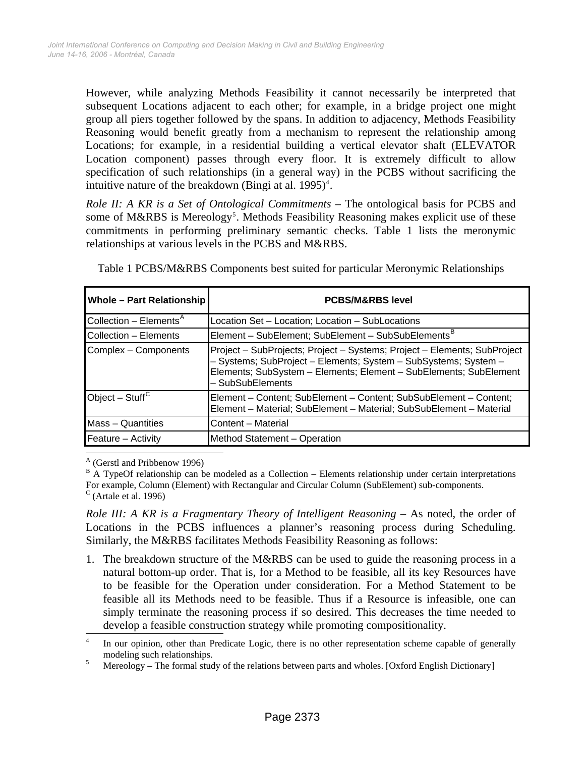However, while analyzing Methods Feasibility it cannot necessarily be interpreted that subsequent Locations adjacent to each other; for example, in a bridge project one might group all piers together followed by the spans. In addition to adjacency, Methods Feasibility Reasoning would benefit greatly from a mechanism to represent the relationship among Locations; for example, in a residential building a vertical elevator shaft (ELEVATOR Location component) passes through every floor. It is extremely difficult to allow specification of such relationships (in a general way) in the PCBS without sacrificing the intuitive nature of the breakdown (Bingi at al.  $1995)^4$ .

*Role II: A KR is a Set of Ontological Commitments* – The ontological basis for PCBS and some of M&RBS is Mereology<sup>[5](#page-4-1)</sup>. Methods Feasibility Reasoning makes explicit use of these commitments in performing preliminary semantic checks. Table 1 lists the meronymic relationships at various levels in the PCBS and M&RBS.

| <b>Whole - Part Relationship</b><br><b>PCBS/M&amp;RBS level</b>                                                                                                                                                                      |
|--------------------------------------------------------------------------------------------------------------------------------------------------------------------------------------------------------------------------------------|
| Location Set - Location; Location - SubLocations                                                                                                                                                                                     |
| Element - SubElement; SubElement - SubSubElements <sup>B</sup>                                                                                                                                                                       |
| Project - SubProjects; Project - Systems; Project - Elements; SubProject<br>- Systems; SubProject - Elements; System - SubSystems; System -<br>Elements; SubSystem - Elements; Element - SubElements; SubElement<br>- SubSubElements |
| Element - Content; SubElement - Content; SubSubElement - Content;<br>Element - Material; SubElement - Material; SubSubElement - Material                                                                                             |
| Content - Material                                                                                                                                                                                                                   |
| Method Statement - Operation                                                                                                                                                                                                         |
|                                                                                                                                                                                                                                      |

Table 1 PCBS/M&RBS Components best suited for particular Meronymic Relationships

<sup>A</sup> (Gerstl and Pribbenow 1996)

*Role III: A KR is a Fragmentary Theory of Intelligent Reasoning* – As noted, the order of Locations in the PCBS influences a planner's reasoning process during Scheduling. Similarly, the M&RBS facilitates Methods Feasibility Reasoning as follows:

1. The breakdown structure of the M&RBS can be used to guide the reasoning process in a natural bottom-up order. That is, for a Method to be feasible, all its key Resources have to be feasible for the Operation under consideration. For a Method Statement to be feasible all its Methods need to be feasible. Thus if a Resource is infeasible, one can simply terminate the reasoning process if so desired. This decreases the time needed to develop a feasible construction strategy while promoting compositionality.

 $B$  A TypeOf relationship can be modeled as a Collection – Elements relationship under certain interpretations For example, Column (Element) with Rectangular and Circular Column (SubElement) sub-components.  $\textdegree$  (Artale et al. 1996)

<span id="page-4-0"></span> 4 In our opinion, other than Predicate Logic, there is no other representation scheme capable of generally modeling such relationships.<br>Moroclogy The formal stud

<span id="page-4-1"></span>Mereology – The formal study of the relations between parts and wholes. [Oxford English Dictionary]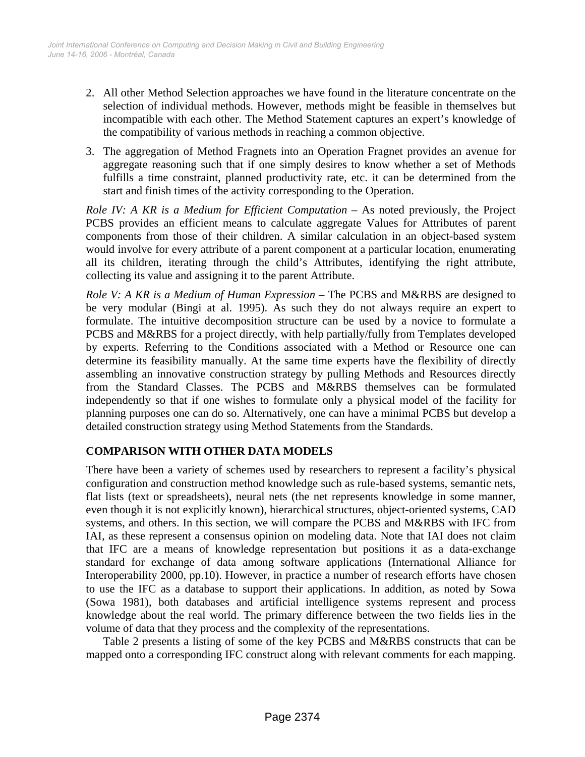- 2. All other Method Selection approaches we have found in the literature concentrate on the selection of individual methods. However, methods might be feasible in themselves but incompatible with each other. The Method Statement captures an expert's knowledge of the compatibility of various methods in reaching a common objective.
- 3. The aggregation of Method Fragnets into an Operation Fragnet provides an avenue for aggregate reasoning such that if one simply desires to know whether a set of Methods fulfills a time constraint, planned productivity rate, etc. it can be determined from the start and finish times of the activity corresponding to the Operation.

*Role IV: A KR is a Medium for Efficient Computation* – As noted previously, the Project PCBS provides an efficient means to calculate aggregate Values for Attributes of parent components from those of their children. A similar calculation in an object-based system would involve for every attribute of a parent component at a particular location, enumerating all its children, iterating through the child's Attributes, identifying the right attribute, collecting its value and assigning it to the parent Attribute.

*Role V: A KR is a Medium of Human Expression* – The PCBS and M&RBS are designed to be very modular (Bingi at al. 1995). As such they do not always require an expert to formulate. The intuitive decomposition structure can be used by a novice to formulate a PCBS and M&RBS for a project directly, with help partially/fully from Templates developed by experts. Referring to the Conditions associated with a Method or Resource one can determine its feasibility manually. At the same time experts have the flexibility of directly assembling an innovative construction strategy by pulling Methods and Resources directly from the Standard Classes. The PCBS and M&RBS themselves can be formulated independently so that if one wishes to formulate only a physical model of the facility for planning purposes one can do so. Alternatively, one can have a minimal PCBS but develop a detailed construction strategy using Method Statements from the Standards.

# **COMPARISON WITH OTHER DATA MODELS**

There have been a variety of schemes used by researchers to represent a facility's physical configuration and construction method knowledge such as rule-based systems, semantic nets, flat lists (text or spreadsheets), neural nets (the net represents knowledge in some manner, even though it is not explicitly known), hierarchical structures, object-oriented systems, CAD systems, and others. In this section, we will compare the PCBS and M&RBS with IFC from IAI, as these represent a consensus opinion on modeling data. Note that IAI does not claim that IFC are a means of knowledge representation but positions it as a data-exchange standard for exchange of data among software applications (International Alliance for Interoperability 2000, pp.10). However, in practice a number of research efforts have chosen to use the IFC as a database to support their applications. In addition, as noted by Sowa (Sowa 1981), both databases and artificial intelligence systems represent and process knowledge about the real world. The primary difference between the two fields lies in the volume of data that they process and the complexity of the representations.

Table 2 presents a listing of some of the key PCBS and M&RBS constructs that can be mapped onto a corresponding IFC construct along with relevant comments for each mapping.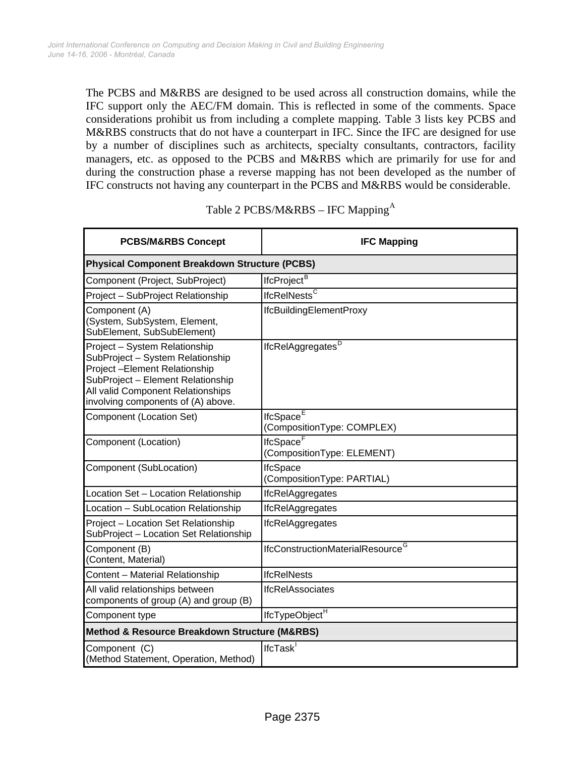The PCBS and M&RBS are designed to be used across all construction domains, while the IFC support only the AEC/FM domain. This is reflected in some of the comments. Space considerations prohibit us from including a complete mapping. Table 3 lists key PCBS and M&RBS constructs that do not have a counterpart in IFC. Since the IFC are designed for use by a number of disciplines such as architects, specialty consultants, contractors, facility managers, etc. as opposed to the PCBS and M&RBS which are primarily for use for and during the construction phase a reverse mapping has not been developed as the number of IFC constructs not having any counterpart in the PCBS and M&RBS would be considerable.

| <b>PCBS/M&amp;RBS Concept</b>                                                                                                                                                                                     | <b>IFC Mapping</b>                                  |  |
|-------------------------------------------------------------------------------------------------------------------------------------------------------------------------------------------------------------------|-----------------------------------------------------|--|
| <b>Physical Component Breakdown Structure (PCBS)</b>                                                                                                                                                              |                                                     |  |
| Component (Project, SubProject)                                                                                                                                                                                   | IfcProject <sup>B</sup>                             |  |
| Project - SubProject Relationship                                                                                                                                                                                 | <b>IfcRelNests<sup>C</sup></b>                      |  |
| Component (A)<br>(System, SubSystem, Element,<br>SubElement, SubSubElement)                                                                                                                                       | IfcBuildingElementProxy                             |  |
| Project - System Relationship<br>SubProject - System Relationship<br>Project-Element Relationship<br>SubProject - Element Relationship<br>All valid Component Relationships<br>involving components of (A) above. | lfcRelAggregates <sup>D</sup>                       |  |
| Component (Location Set)                                                                                                                                                                                          | IfcSpace <sup>E</sup><br>(CompositionType: COMPLEX) |  |
| Component (Location)                                                                                                                                                                                              | IfcSpace <sup>F</sup><br>(CompositionType: ELEMENT) |  |
| Component (SubLocation)                                                                                                                                                                                           | <b>IfcSpace</b><br>(CompositionType: PARTIAL)       |  |
| Location Set - Location Relationship                                                                                                                                                                              | <b>IfcRelAggregates</b>                             |  |
| Location - SubLocation Relationship                                                                                                                                                                               | <b>IfcRelAggregates</b>                             |  |
| Project - Location Set Relationship<br>SubProject - Location Set Relationship                                                                                                                                     | <b>IfcRelAggregates</b>                             |  |
| Component (B)<br>(Content, Material)                                                                                                                                                                              | IfcConstructionMaterialResource <sup>G</sup>        |  |
| Content - Material Relationship                                                                                                                                                                                   | <b>IfcReINests</b>                                  |  |
| All valid relationships between<br>components of group (A) and group (B)                                                                                                                                          | <b>IfcRelAssociates</b>                             |  |
| Component type                                                                                                                                                                                                    | IfcTypeObject <sup>H</sup>                          |  |
| Method & Resource Breakdown Structure (M&RBS)                                                                                                                                                                     |                                                     |  |
| Component (C)<br>(Method Statement, Operation, Method)                                                                                                                                                            | IfcTask                                             |  |

# Table 2 PCBS/M&RBS – IFC Mapping<sup>[A](#page-10-3)</sup>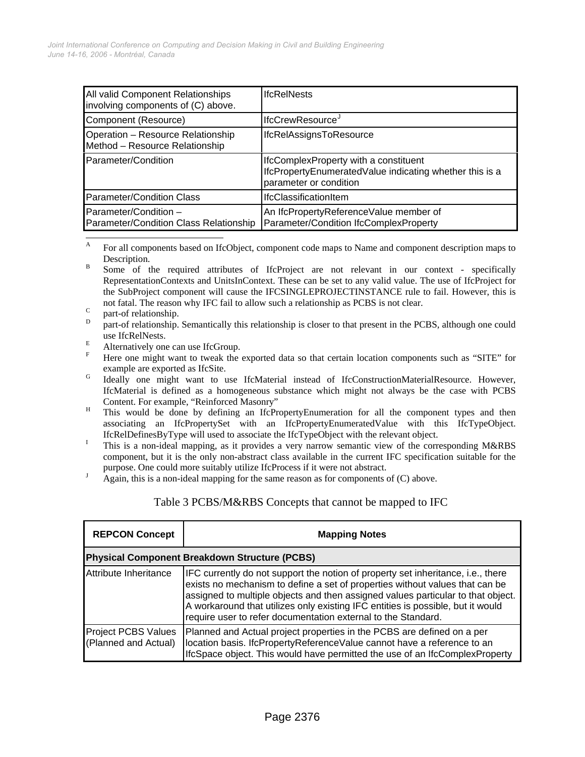| All valid Component Relationships<br>involving components of (C) above. | <b>IfcReINests</b>                                                                                                         |
|-------------------------------------------------------------------------|----------------------------------------------------------------------------------------------------------------------------|
| Component (Resource)                                                    | lfcCrewResource <sup>9</sup>                                                                                               |
| Operation - Resource Relationship<br>Method - Resource Relationship     | <b>IfcRelAssignsToResource</b>                                                                                             |
| Parameter/Condition                                                     | IfcComplexProperty with a constituent<br>IfcPropertyEnumeratedValue indicating whether this is a<br>parameter or condition |
| <b>Parameter/Condition Class</b>                                        | IfcClassificationItem                                                                                                      |
| Parameter/Condition -<br>Parameter/Condition Class Relationship         | An IfcPropertyReferenceValue member of<br>Parameter/Condition IfcComplexProperty                                           |

<sup>A</sup> For all components based on IfcObject, component code maps to Name and component description maps to  $B = \frac{\text{Description}}{\text{Gauss}}$ 

- Some of the required attributes of IfcProject are not relevant in our context specifically RepresentationContexts and UnitsInContext. These can be set to any valid value. The use of IfcProject for the SubProject component will cause the IFCSINGLEPROJECTINSTANCE rule to fail. However, this is not fatal. The reason why IFC fail to allow such a relationship as PCBS is not clear.
- $\frac{C}{D}$  part-of relationship.

 $\overline{\phantom{a}}$ 

- part-of relationship. Semantically this relationship is closer to that present in the PCBS, although one could use IfcRelNests.
- Alternatively one can use IfcGroup.
- F Here one might want to tweak the exported data so that certain location components such as "SITE" for example are exported as IfcSite.<br>
G Ideally one might want to use IfcMaterial instead of IfcConstructionMaterialResource. However,
- IfcMaterial is defined as a homogeneous substance which might not always be the case with PCBS
- Content. For example, "Reinforced Masonry" This would be done by defining an IfcPropertyEnumeration for all the component types and then associating an IfcPropertySet with an IfcPropertyEnumeratedValue with this IfcTypeObject. IfcRelDefinesByType will used to associate the IfcTypeObject with the relevant object. I
- This is a non-ideal mapping, as it provides a very narrow semantic view of the corresponding M&RBS component, but it is the only non-abstract class available in the current IFC specification suitable for the purpose. One could more suitably utilize IfcProcess if it were not abstract.
- Again, this is a non-ideal mapping for the same reason as for components of (C) above.

#### Table 3 PCBS/M&RBS Concepts that cannot be mapped to IFC

| <b>REPCON Concept</b>                              | <b>Mapping Notes</b>                                                                                                                                                                                                                                                                                                                                                                                     |  |
|----------------------------------------------------|----------------------------------------------------------------------------------------------------------------------------------------------------------------------------------------------------------------------------------------------------------------------------------------------------------------------------------------------------------------------------------------------------------|--|
| Physical Component Breakdown Structure (PCBS)      |                                                                                                                                                                                                                                                                                                                                                                                                          |  |
| Attribute Inheritance                              | IFC currently do not support the notion of property set inheritance, i.e., there<br>exists no mechanism to define a set of properties without values that can be<br>assigned to multiple objects and then assigned values particular to that object.<br>A workaround that utilizes only existing IFC entities is possible, but it would<br>require user to refer documentation external to the Standard. |  |
| <b>Project PCBS Values</b><br>(Planned and Actual) | Planned and Actual project properties in the PCBS are defined on a per<br>location basis. IfcPropertyReferenceValue cannot have a reference to an<br>IfcSpace object. This would have permitted the use of an IfcComplexProperty                                                                                                                                                                         |  |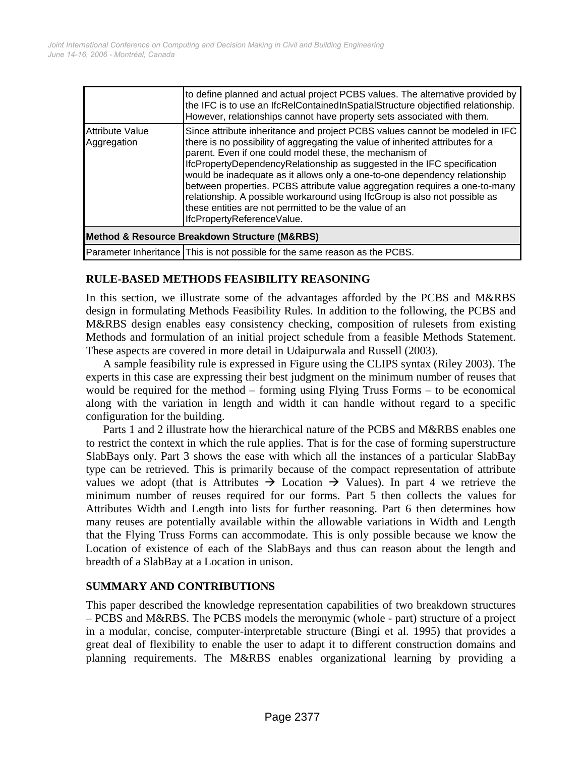|                                                              | to define planned and actual project PCBS values. The alternative provided by<br>the IFC is to use an IfcRelContainedInSpatialStructure objectified relationship.<br>However, relationships cannot have property sets associated with them.                                                                                                                                                                                                                                                                                                                                                                                             |  |
|--------------------------------------------------------------|-----------------------------------------------------------------------------------------------------------------------------------------------------------------------------------------------------------------------------------------------------------------------------------------------------------------------------------------------------------------------------------------------------------------------------------------------------------------------------------------------------------------------------------------------------------------------------------------------------------------------------------------|--|
| <b>Attribute Value</b><br>Aggregation                        | Since attribute inheritance and project PCBS values cannot be modeled in IFC<br>there is no possibility of aggregating the value of inherited attributes for a<br>parent. Even if one could model these, the mechanism of<br>IfcPropertyDependencyRelationship as suggested in the IFC specification<br>would be inadequate as it allows only a one-to-one dependency relationship<br>between properties. PCBS attribute value aggregation requires a one-to-many<br>relationship. A possible workaround using IfcGroup is also not possible as<br>these entities are not permitted to be the value of an<br>IfcPropertyReferenceValue. |  |
| <b>Method &amp; Resource Breakdown Structure (M&amp;RBS)</b> |                                                                                                                                                                                                                                                                                                                                                                                                                                                                                                                                                                                                                                         |  |
|                                                              | Parameter Inheritance This is not possible for the same reason as the PCBS.                                                                                                                                                                                                                                                                                                                                                                                                                                                                                                                                                             |  |

#### **RULE-BASED METHODS FEASIBILITY REASONING**

In this section, we illustrate some of the advantages afforded by the PCBS and M&RBS design in formulating Methods Feasibility Rules. In addition to the following, the PCBS and M&RBS design enables easy consistency checking, composition of rulesets from existing Methods and formulation of an initial project schedule from a feasible Methods Statement. These aspects are covered in more detail in Udaipurwala and Russell (2003).

A sample feasibility rule is expressed in Figure using the CLIPS syntax (Riley 2003). The experts in this case are expressing their best judgment on the minimum number of reuses that would be required for the method – forming using Flying Truss Forms – to be economical along with the variation in length and width it can handle without regard to a specific configuration for the building.

Parts 1 and 2 illustrate how the hierarchical nature of the PCBS and M&RBS enables one to restrict the context in which the rule applies. That is for the case of forming superstructure SlabBays only. Part 3 shows the ease with which all the instances of a particular SlabBay type can be retrieved. This is primarily because of the compact representation of attribute values we adopt (that is Attributes  $\rightarrow$  Location  $\rightarrow$  Values). In part 4 we retrieve the minimum number of reuses required for our forms. Part 5 then collects the values for Attributes Width and Length into lists for further reasoning. Part 6 then determines how many reuses are potentially available within the allowable variations in Width and Length that the Flying Truss Forms can accommodate. This is only possible because we know the Location of existence of each of the SlabBays and thus can reason about the length and breadth of a SlabBay at a Location in unison.

## **SUMMARY AND CONTRIBUTIONS**

This paper described the knowledge representation capabilities of two breakdown structures – PCBS and M&RBS. The PCBS models the meronymic (whole - part) structure of a project in a modular, concise, computer-interpretable structure (Bingi et al. 1995) that provides a great deal of flexibility to enable the user to adapt it to different construction domains and planning requirements. The M&RBS enables organizational learning by providing a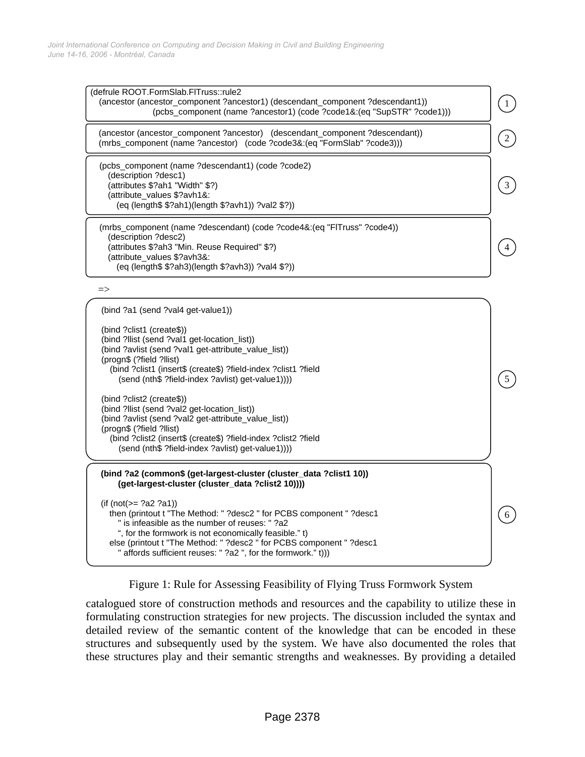

Figure 1: Rule for Assessing Feasibility of Flying Truss Formwork System

catalogued store of construction methods and resources and the capability to utilize these in formulating construction strategies for new projects. The discussion included the syntax and detailed review of the semantic content of the knowledge that can be encoded in these structures and subsequently used by the system. We have also documented the roles that these structures play and their semantic strengths and weaknesses. By providing a detailed